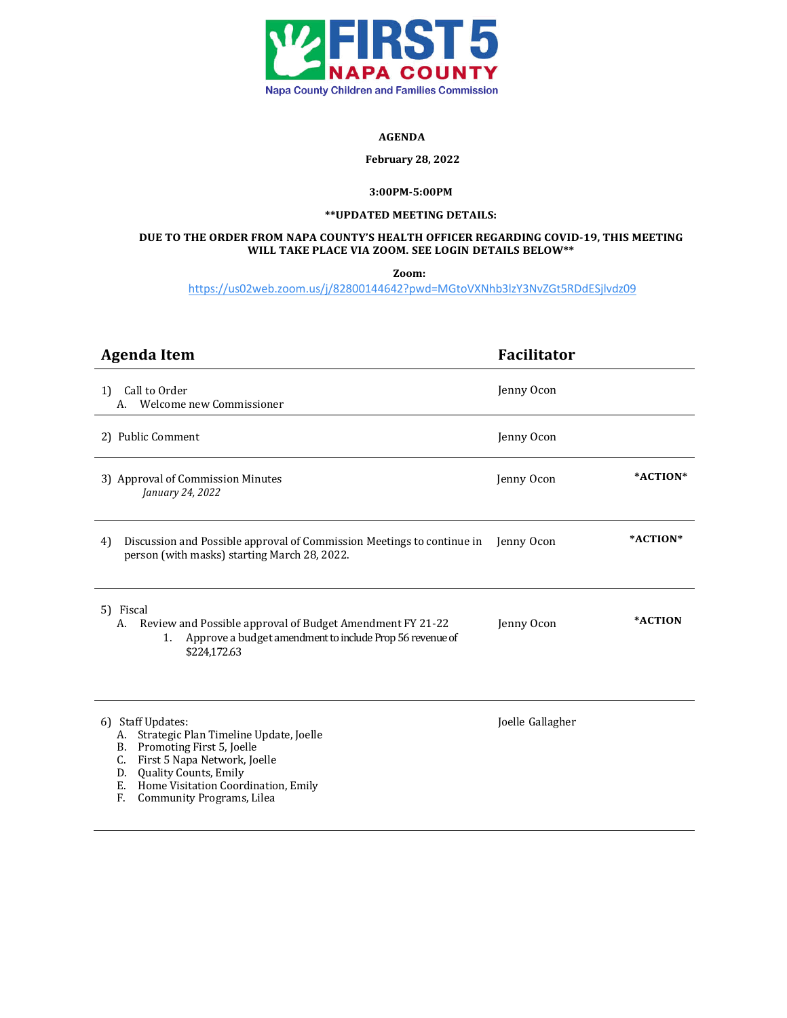

#### **AGENDA**

#### **February 28, 2022**

# **3:00PM-5:00PM**

### **\*\*UPDATED MEETING DETAILS:**

## **DUE TO THE ORDER FROM NAPA COUNTY'S HEALTH OFFICER REGARDING COVID-19, THIS MEETING WILL TAKE PLACE VIA ZOOM. SEE LOGIN DETAILS BELOW\*\***

**Zoom:**

https://us02web.zoom.us/j/82800144642?pwd=MGtoVXNhb3lzY3NvZGt5RDdESjlvdz09

| <b>Agenda Item</b>                                                                                                                                                                                                                                         | <b>Facilitator</b>     |
|------------------------------------------------------------------------------------------------------------------------------------------------------------------------------------------------------------------------------------------------------------|------------------------|
| Call to Order<br>1)<br>Welcome new Commissioner<br>А.                                                                                                                                                                                                      | Jenny Ocon             |
| 2) Public Comment                                                                                                                                                                                                                                          | Jenny Ocon             |
| 3) Approval of Commission Minutes<br>January 24, 2022                                                                                                                                                                                                      | *ACTION*<br>Jenny Ocon |
| Discussion and Possible approval of Commission Meetings to continue in<br>4)<br>person (with masks) starting March 28, 2022.                                                                                                                               | *ACTION*<br>Jenny Ocon |
| 5) Fiscal<br>Review and Possible approval of Budget Amendment FY 21-22<br>А.<br>Approve a budget amendment to include Prop 56 revenue of<br>1.<br>\$224,172.63                                                                                             | *ACTION<br>Jenny Ocon  |
| <b>Staff Updates:</b><br>6)<br>A. Strategic Plan Timeline Update, Joelle<br>B. Promoting First 5, Joelle<br>C. First 5 Napa Network, Joelle<br>Quality Counts, Emily<br>D.<br>Home Visitation Coordination, Emily<br>E.<br>Community Programs, Lilea<br>F. | Joelle Gallagher       |